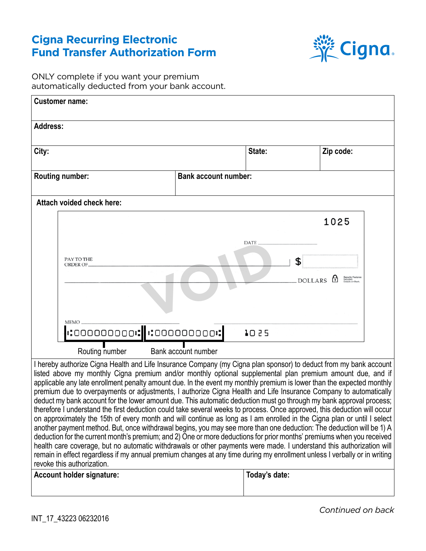## **Cigna Recurring Electronic Fund Transfer Authorization Form**



ONLY complete if you want your premium automatically deducted from your bank account.

| <b>Customer name:</b>                                                                                                                                                                                                                                                                                                                                                                                                                                                                                                                                                                                                                                                                                                                                                                                                                                                                                                                                                                                                                                                                                                                                                                                                                                                                                                                                                                          |                             |               |           |
|------------------------------------------------------------------------------------------------------------------------------------------------------------------------------------------------------------------------------------------------------------------------------------------------------------------------------------------------------------------------------------------------------------------------------------------------------------------------------------------------------------------------------------------------------------------------------------------------------------------------------------------------------------------------------------------------------------------------------------------------------------------------------------------------------------------------------------------------------------------------------------------------------------------------------------------------------------------------------------------------------------------------------------------------------------------------------------------------------------------------------------------------------------------------------------------------------------------------------------------------------------------------------------------------------------------------------------------------------------------------------------------------|-----------------------------|---------------|-----------|
| <b>Address:</b>                                                                                                                                                                                                                                                                                                                                                                                                                                                                                                                                                                                                                                                                                                                                                                                                                                                                                                                                                                                                                                                                                                                                                                                                                                                                                                                                                                                |                             |               |           |
| City:                                                                                                                                                                                                                                                                                                                                                                                                                                                                                                                                                                                                                                                                                                                                                                                                                                                                                                                                                                                                                                                                                                                                                                                                                                                                                                                                                                                          |                             | State:        | Zip code: |
| <b>Routing number:</b>                                                                                                                                                                                                                                                                                                                                                                                                                                                                                                                                                                                                                                                                                                                                                                                                                                                                                                                                                                                                                                                                                                                                                                                                                                                                                                                                                                         | <b>Bank account number:</b> |               |           |
| Attach voided check here:                                                                                                                                                                                                                                                                                                                                                                                                                                                                                                                                                                                                                                                                                                                                                                                                                                                                                                                                                                                                                                                                                                                                                                                                                                                                                                                                                                      |                             |               |           |
|                                                                                                                                                                                                                                                                                                                                                                                                                                                                                                                                                                                                                                                                                                                                                                                                                                                                                                                                                                                                                                                                                                                                                                                                                                                                                                                                                                                                |                             |               | 1025      |
|                                                                                                                                                                                                                                                                                                                                                                                                                                                                                                                                                                                                                                                                                                                                                                                                                                                                                                                                                                                                                                                                                                                                                                                                                                                                                                                                                                                                |                             | <b>DATE</b>   |           |
| PAY TO THE<br>ORDER OF.                                                                                                                                                                                                                                                                                                                                                                                                                                                                                                                                                                                                                                                                                                                                                                                                                                                                                                                                                                                                                                                                                                                                                                                                                                                                                                                                                                        |                             | \$            |           |
| <b>DOLLARS</b>                                                                                                                                                                                                                                                                                                                                                                                                                                                                                                                                                                                                                                                                                                                                                                                                                                                                                                                                                                                                                                                                                                                                                                                                                                                                                                                                                                                 |                             |               |           |
|                                                                                                                                                                                                                                                                                                                                                                                                                                                                                                                                                                                                                                                                                                                                                                                                                                                                                                                                                                                                                                                                                                                                                                                                                                                                                                                                                                                                |                             |               |           |
|                                                                                                                                                                                                                                                                                                                                                                                                                                                                                                                                                                                                                                                                                                                                                                                                                                                                                                                                                                                                                                                                                                                                                                                                                                                                                                                                                                                                |                             |               |           |
| <b>MEMO</b><br>$\cdot$ :00000000: $\cdot$ :00000000:<br>1025                                                                                                                                                                                                                                                                                                                                                                                                                                                                                                                                                                                                                                                                                                                                                                                                                                                                                                                                                                                                                                                                                                                                                                                                                                                                                                                                   |                             |               |           |
| Routing number<br>Bank account number                                                                                                                                                                                                                                                                                                                                                                                                                                                                                                                                                                                                                                                                                                                                                                                                                                                                                                                                                                                                                                                                                                                                                                                                                                                                                                                                                          |                             |               |           |
| I hereby authorize Cigna Health and Life Insurance Company (my Cigna plan sponsor) to deduct from my bank account<br>listed above my monthly Cigna premium and/or monthly optional supplemental plan premium amount due, and if<br>applicable any late enrollment penalty amount due. In the event my monthly premium is lower than the expected monthly<br>premium due to overpayments or adjustments, I authorize Cigna Health and Life Insurance Company to automatically<br>deduct my bank account for the lower amount due. This automatic deduction must go through my bank approval process;<br>therefore I understand the first deduction could take several weeks to process. Once approved, this deduction will occur<br>on approximately the 15th of every month and will continue as long as I am enrolled in the Cigna plan or until I select<br>another payment method. But, once withdrawal begins, you may see more than one deduction: The deduction will be 1) A<br>deduction for the current month's premium; and 2) One or more deductions for prior months' premiums when you received<br>health care coverage, but no automatic withdrawals or other payments were made. I understand this authorization will<br>remain in effect regardless if my annual premium changes at any time during my enrollment unless I verbally or in writing<br>revoke this authorization. |                             |               |           |
| <b>Account holder signature:</b>                                                                                                                                                                                                                                                                                                                                                                                                                                                                                                                                                                                                                                                                                                                                                                                                                                                                                                                                                                                                                                                                                                                                                                                                                                                                                                                                                               |                             | Today's date: |           |